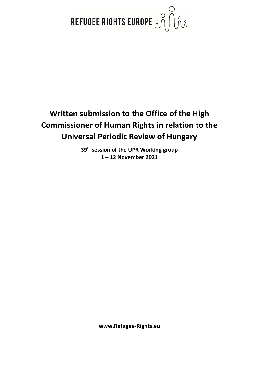

# **Written submission to the Office of the High Commissioner of Human Rights in relation to the Universal Periodic Review of Hungary**

**39th session of the UPR Working group 1 – 12 November 2021**

**www.Refugee-Rights.eu**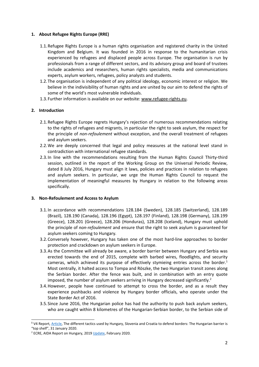# **1. About Refugee Rights Europe (RRE)**

- 1.1.Refugee Rights Europe is <sup>a</sup> human rights organisation and registered charity in the United Kingdom and Belgium. It was founded in 2016 in response to the humanitarian crisis experienced by refugees and displaced people across Europe. The organisation is run by professionals from <sup>a</sup> range of different sectors, and its advisory group and board of trustees include academics and researchers, human rights specialists, media and communications experts, asylum workers, refugees, policy analysts and students.
- 1.2.The organisation is independent of any political ideology, economic interest or religion. We believe in the indivisibility of human rights and are united by our aim to defend the rights of some of the world'<sup>s</sup> most vulnerable individuals.
- 1.3.Further information is available on our website: [www.refugee-rights.eu](http://www.refugee-rights.eu).

# **2. Introduction**

- 2.1.Refugee Rights Europe regrets Hungary'<sup>s</sup> rejection of numerous recommendations relating to the rights of refugees and migrants, in particular the right to seek asylum, the respect for the principle of *non-refoulement* without exception, and the overall treatment of refugees and asylum seekers.
- 2.2.We are deeply concerned that legal and policy measures at the national level stand in contradiction with international refugee standards.
- 2.3.In line with the recommendations resulting from the Human Rights Council Thirty-third session, outlined in the report of the Working Group on the Universal Periodic Review, dated 8 July 2016, Hungary must align it laws, policies and practices in relation to refugees and asylum seekers. In particular, we urge the Human Rights Council to request the implementation of meaningful measures by Hungary in relation to the following areas specifically.

## **3. Non-Refoulement and Access to Asylum**

- 3.1.In accordance with recommendations 128.184 (Sweden), 128.185 (Switzerland), 128.189 (Brazil), 128.190 (Canada), 128.196 (Egypt), 128.197 (Finland), 128.198 (Germany), 128.199 (Greece), 128.201 (Greece), 128.206 (Honduras), 128.208 (Iceland), Hungary must uphold the principle of *non-refoulement* and ensure that the right to seek asylum is guaranteed for asylum seekers coming to Hungary*.*
- 3.2.Conversely however, Hungary has taken one of the most hard-line approaches to border protection and crackdown on asylum seekers in Europe.
- 3.3.As the Committee will already be aware, <sup>a</sup> border barrier between Hungary and Serbia was erected towards the end of 2015, complete with barbed wires, floodlights, and security cameras, which achieved its purpose of effectively stymieing entries across the border. 1 Most centrally, it halted access to Tompa and Röszke, the two Hungarian transit zones along the Serbian border. After the fence was built, and in combination with an entry quote imposed, the number of asylum seekers arriving in Hungary decreased significantly. 2
- 3.4.However, people have continued to attempt to cross the border, and as <sup>a</sup> result they experience pushbacks and violence by Hungary border officials, who operate under the State Border Act of 2016.
- 3.5.Since June 2016, the Hungarian police has had the authority to push back asylum seekers, who are caught within 8 kilometres of the Hungarian-Serbian border, to the Serbian side of

**<sup>1</sup>** V4 Report, [Article,](http://v4report.com/the-different-tactics-used-by-hungary-slovenia-and-croatia-to-defend-borders-the-hungarian-barrier-is-top-shelf/) The different tactics used by Hungary, Slovenia and Croatia to defend borders: The Hungarian barrier is "top shelf", 31 January 2020.

<sup>&</sup>lt;sup>2</sup> ECRE, AIDA Report on Hungary, 2019 [Update](https://www.asylumineurope.org/reports/country/hungary/asylum-procedure/access-procedure-and-registration/access-territory-and-push), February 2020.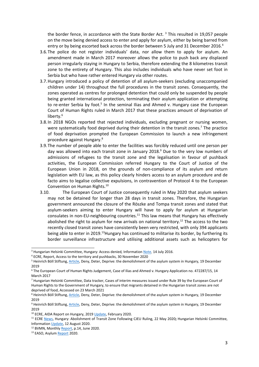the border fence, in accordance with the State Border Act. <sup>3</sup> This resulted in 19,057 people on the move being denied access to enter and apply for asylum, either by being barred from entry or by being escorted back across the border between 5 July and 31 December 2016. 4

- 3.6.The police do not register individuals' data, nor allow them to apply for asylum. An amendment made in March 2017 moreover allows the police to push back any displaced person irregularly staying in Hungary to Serbia, therefore extending the 8 kilometres transit zone to the entirety of Hungary. This also includes individuals who have never set foot in Serbia but who have rather entered Hungary via other routes.
- 3.7.Hungary introduced <sup>a</sup> policy of detention of all asylum-seekers (excluding unaccompanied children under 14) throughout the full procedures in the transit zones. Consequently, the zones operated as centres for prolonged detention that could only be suspended by people being granted international protection, terminating their asylum application or attempting to re-enter Serbia by foot.<sup>5</sup> In the seminal Ilias and Ahmed v. Hungary case the European Court of Human Rights ruled in March 2017 that these practices amount of deprivation of liberty. 6
- 3.8.In 2018 NGOs reported that rejected individuals, excluding pregnant or nursing women, were systematically food deprived during their detention in the transit zones.<sup>7</sup> The practice of food deprivation prompted the European Commission to launch <sup>a</sup> new infringement procedure against Hungary. 8
- 3.9.The number of people able to enter the facilities was forcibly reduced until one person per day was allowed into each transit zone in January 2018. 9 Due to the very low numbers of admissions of refugees to the transit zone and the legalisation in favour of pushback activities, the European Commission referred Hungary to the Court of Justice of the European Union in 2018, on the grounds of non-compliance of its asylum and return legislation with EU law, as this policy clearly hinders access to an asylum procedure and de facto aims to legalise collective expulsions, in contravention of Protocol 4 to the European Convention on Human Rights.<sup>10</sup>
- 3.10. The European Court of Justice consequently ruled in May 2020 that asylum seekers may not be detained for longer than 28 days in transit zones. Therefore, the Hungarian government announced the closure of the Röszke and Tompa transit zones and stated that asylum-seekers aiming to enter Hungary will have to apply for asylum at Hungarian consulates in non-EU-neighbouring countries.<sup>11</sup> This law means that Hungary has effectively abolished the right to asylum for new arrivals on national territory.<sup>12</sup> The access to the two recently closed transit zones have consistently been very restricted, with only 394 applicants being able to enter in 2019.<sup>13</sup>Hungary has continued to militarise its border, by furthering its border surveillance infrastructure and utilising additional assets such as helicopters for

<sup>3</sup> Hungarian Helsinki Committee, Hungary: Access denied*,* Information [Note,](https://goo.gl/tEMB9O) 14 July 2016.

<sup>4</sup> ECRE, Report, Access to the territory and pushbacks, 30 November 2020

<sup>&</sup>lt;sup>5</sup> Heinrich Böll Stiftung, [Article](https://cz.boell.org/en/2019/12/19/deny-deter-deprive-demolishment-asylum-system-hungary), Deny, Deter, Deprive: the demolishment of the asylum system in Hungary, 19 December 2019

<sup>6</sup> The European Court of Human Rights Judgement, Case of Ilias and Ahmed v. Hungary Application no. 472287/15, 14 March 2017

<sup>7</sup> Hungarian Helsinki Committee, Data tracker, Cases of interim measures issued under Rule 39 by the European Court of Human Rights to the Government of Hungary, to ensure that migrants detained in the Hungarian transit zones are not deprived of food, Accessed on 23 March 2021

<sup>&</sup>lt;sup>8</sup> Heinrich Böll Stiftung, [Article](https://cz.boell.org/en/2019/12/19/deny-deter-deprive-demolishment-asylum-system-hungary), Deny, Deter, Deprive: the demolishment of the asylum system in Hungary, 19 December 2019

<sup>&</sup>lt;sup>9</sup> Heinrich Böll Stiftung, [Article](https://cz.boell.org/en/2019/12/19/deny-deter-deprive-demolishment-asylum-system-hungary), Deny, Deter, Deprive: the demolishment of the asylum system in Hungary, 19 December 2019

<sup>&</sup>lt;sup>10</sup> ECRE, AIDA Report on Hungary, 2019 [Update,](https://www.asylumineurope.org/reports/country/hungary/asylum-procedure/access-procedure-and-registration/access-territory-and-push) February 2020.

<sup>11</sup> ECRE [News](https://www.ecre.org/hungary-abolishment-of-transit-zone-following-cjeu-ruling/), Hungary: Abolishment of Transit Zone Following CJEU Ruling, 22 May 2020**;** Hungarian Helsinki Committee, Information [Update,](https://www.helsinki.hu/wp-content/uploads/new-Hungarian-asylum-system-HHC-Aug-2020.pdf) 12 August 2020.

<sup>&</sup>lt;sup>12</sup> BVMN, Monthly [Report,](https://www.borderviolence.eu/wp-content/uploads/JUNE-REPORT.pdf) p.14, June 2020.

<sup>&</sup>lt;sup>13</sup> EASO, Asylum [Report](https://reliefweb.int/sites/reliefweb.int/files/resources/EASO-Asylum-Report-2020.pdf) 2020.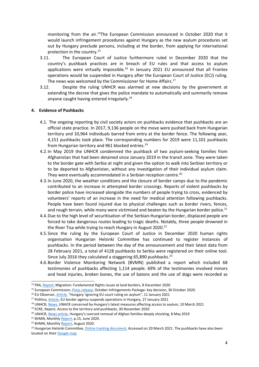monitoring from the air.<sup>14</sup>The European Commission announced in October 2020 that it would launch infringement procedures against Hungary as the new asylum procedures set out by Hungary preclude persons, including at the border, from applying for international protection in the country. 15

- 3.11. The European Court of Justice furthermore ruled in December 2020 that the country'<sup>s</sup> pushback practices are in breach of EU rules and that access to asylum applications were virtually impossible.<sup>16</sup> In January 2021 EU announced that all Frontex operations would be suspended in Hungary after the European Court of Justice (ECJ) ruling. The news was welcomed by the Commissioner for Home Affairs.<sup>17</sup>
- 3.12. Despite the ruling UNHCR was alarmed at new decisions by the government at extending the decree that gives the police mandate to automatically and summarily remove anyone caught having entered irregularly.<sup>18</sup>

#### **4. Evidence of Pushbacks**

- 4.1. The ongoing reporting by civil society actors on pushbacks evidence that pushbacks are an official state practice. In 2017, 9,136 people on the move were pushed back from Hungarian territory and 10,964 individuals barred from entry at the border fence. The following year, 4,151 pushbacks took place. The corresponding numbers for 2019 were 11,101 pushbacks from Hungarian territory and 961 blocked entries.<sup>19</sup>
- 4.2.In May 2019 the UNHCR condemned the pushback of two asylum-seeking families from Afghanistan that had been detained since January 2019 in the transit zone. They were taken to the border gate with Serbia at night and given the option to walk into Serbian territory or to be deported to Afghanistan, without any investigation of their individual asylum claim. They were eventually accommodated in a Serbian reception centre.<sup>20</sup>
- 4.3.In June 2020, the weather conditions and the closure of border camps due to the pandemic contributed to an increase in attempted border crossings. Reports of violent pushbacks by border police have increased alongside the numbers of people trying to cross, evidenced by volunteers' reports of an increase in the need for medical attention following pushbacks. People have been found injured due to physical challenges such as border rivers, fences, and rough terrain, while many were victimised and beaten by the Hungarian border police.<sup>21</sup>
- 4.4.Due to the high level of securitisation of the Serbian-Hungarian border, displaced people are forced to take dangerous routes leading to tragic deaths. Notably, three people drowned in the River Tisa while trying to reach Hungary in August 2020.<sup>22</sup>
- 4.5.Since the ruling by the European Court of Justice in December 2020 human rights organisation Hungarian Helsinki Committee has continued to register instances of pushbacks. In the period between the day of the announcement and their latest data from 28 February 2021, <sup>a</sup> total of 4128 pushbacks to Serbia were registered on their online tool. Since July 2016 they calculated a staggering 65,890 pushbacks. $^{23}$
- 4.6.Border Violence Monitoring Network (BVMN) published <sup>a</sup> report which included 68 testimonies of pushbacks affecting 1,114 people. 69% of the testimonies involved minors and head injuries, broken bones, the use of batons and the use of dogs were recorded as

<sup>&</sup>lt;sup>14</sup> FRA, <u>[Report](https://www.infomigrants.net/en/post/29944/hungary-4-903-pushbacks-after-eu-court-declared-them-illegal)</u>, Migration: Fundamental Rights issues at land borders, 8 December 2020

<sup>&</sup>lt;sup>15</sup> European Commission, Press [release,](https://ec.europa.eu/commission/presscorner/detail/en/inf_20_1687) October Infringements Package: key decision, 30 October 2020.

<sup>&</sup>lt;sup>16</sup> EU Observer, [Article](https://euobserver.com/migration/150555#:~:text=The%20EU%20court%20judgement%20on,court%20by%20the%20European%20Commission.), "Hungary 'ignoring EU court ruling on asylum", 11 January 2021

<sup>&</sup>lt;sup>17</sup> Politico, [Article](https://www.politico.eu/article/eu-border-agency-frontex-suspends-operations-in-hungary-migration/), EU border agency suspends operations in Hungary, 27 January 2021

<sup>&</sup>lt;sup>18</sup> UNHCR, [News](https://www.unhcr.org/news/press/2021/3/6048976e4/unhcr-concerned-hungarys-latest-measures-affecting-access-asylum.html), UNHCR concerned by Hungary's latest measures affecting access to asylum, 10 March 2021

<sup>&</sup>lt;sup>19</sup> ECRE, Report, Access to the territory and pushbacks, 30 November 2020

<sup>&</sup>lt;sup>20</sup> UNHCR, <u>News [article](https://www.unhcr.org/news/press/2019/5/5cd3167a4/hungarys-coerced-removal-afghan-families-deeply-shocking.html)</u>, Hungary's coerced removal of Afghan families deeply shocking, 8 May 2019

<sup>&</sup>lt;sup>21</sup> BVMN, Monthly [Report,](https://www.borderviolence.eu/wp-content/uploads/JUNE-REPORT.pdf) p.15, June 2020.

<sup>&</sup>lt;sup>22</sup> BVMN, Monthly [Report,](https://www.borderviolence.eu/wp-content/uploads/Working-Doc-August-Report-BVMN-2.pdf) August 2020.

<sup>&</sup>lt;sup>23</sup> Hungarian Helsinki Committee, Online tracking [document](https://docs.google.com/spreadsheets/d/11jlrJW-SbIa-tCkbfvOJ4x2e2bteCR0zHLs0fB9g_nw/edit#gid=0), Accessed on 20 March 2021. The pushbacks have also beer located on their [Google](https://www.google.com/maps/d/u/0/viewer?mid=1GG5kXEBlC1UfNFB0DqrO5ejhJgEu0LwV&ll=47.396067792719236%2C19.859142069165436&z=7) map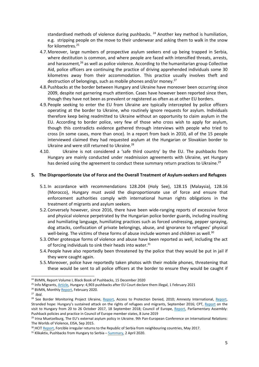standardised methods of violence during pushbacks.  $^{24}$  Another key method is humiliation, e.g. stripping people on the move to their underwear and asking them to walk in the snow for kilometres. 25

- 4.7.Moreover, large numbers of prospective asylum seekers end up being trapped in Serbia, where destitution is common, and where people are faced with intensified threats, arrests, and harassment,<sup>26</sup> as well as police violence. According to the humanitarian group Collective Aid, police officers are continuing the practice of driving apprehended individuals some 30 kilometres away from their accommodation. This practice usually involves theft and destruction of belongings, such as mobile phones and/or money.<sup>27</sup>
- 4.8.Pushbacks at the border between Hungary and Ukraine have moreover been occurring since 2009, despite not garnering much attention. Cases have however been reported since then, though they have not been as prevalent or registered as often as at other EU borders.
- 4.9. People seeking to enter the EU from Ukraine are typically intercepted by police officers operating at the border to Ukraine, who routinely ignore requests for asylum. Individuals therefore keep being readmitted to Ukraine without an opportunity to claim asylum in the EU. According to border police, very few of those who cross wish to apply for asylum, though this contradicts evidence gathered through interviews with people who tried to cross (in some cases, more than once). In <sup>a</sup> report from back in 2010, all of the 15 people interviewed claimed they had requested asylum at the Hungarian or Slovakian border to Ukraine and were still returned to Ukraine.<sup>28</sup>
- 4.10. Ukraine is not considered <sup>a</sup> 'safe third country' by the EU. The pushbacks from Hungary are mainly conducted under readmission agreements with Ukraine, yet Hungary has denied using the agreement to conduct these summary return practices to Ukraine.<sup>29</sup>

## **5. The Disproportionate Use of Force and the Overall Treatment of Asylum-seekers and Refugees**

- 5.1.In accordance with recommendations 128.204 (Holy See), 128.15 (Malaysia), 128.16 (Morocco), Hungary must avoid the disproportionate use of force and ensure that enforcement authorities comply with international human rights obligations in the treatment of migrants and asylum seekers.
- 5.2.Conversely however, since 2016, there have been wide-ranging reports of excessive force and physical violence perpetrated by the Hungarian police border guards, including insulting and humiliating language, humiliating practices such as forced undressing, pepper spraying, dog attacks, confiscation of private belongings, abuse, and ignorance to refugees' physical well-being. The victims of these forms of abuse include women and children as well.<sup>30</sup>
- 5.3.Other grotesque forms of violence and abuse have been reported as well, including the act of forcing individuals to sink their heads into water.<sup>31</sup>
- 5.4.People have also reportedly been threatened by the police that they would be put in jail if they were caught again.
- 5.5.Moreover, police have reportedly taken photos with their mobile phones, threatening that these would be sent to all police officers at the border to ensure they would be caught if

<sup>&</sup>lt;sup>24</sup> BVMN, Report Volume I, Black Book of Pushbacks, 15 December 2020

<sup>&</sup>lt;sup>25</sup> Info Migrants, [Article](https://www.infomigrants.net/en/post/29944/hungary-4-903-pushbacks-after-eu-court-declared-them-illegal), Hungary: 4,903 pushbacks after EU Court declare them illegal, 1 February 2021

<sup>&</sup>lt;sup>26</sup> BVMN, Monthly [Report,](https://www.borderviolence.eu/wp-content/uploads/February_Report_20.pdf) February 2020.

<sup>27</sup> *Ibid*.

<sup>&</sup>lt;sup>28</sup> See Border Monitoring Project Ukraine, [Report,](http://bordermonitoring-ukraine.eu/files/2010/11/refoulement-report.pdf) Access to Protection Denied, 2010; Amnesty International, [Report](https://www.amnestyusa.org/files/stranded_hope_eur2748642016_0.pdf) Stranded hope: Hungary'<sup>s</sup> sustained attack on the rights of refugees and migrants, September 2016; CPT, [Report](https://www.politico.eu/wp-content/uploads/2018/09/Hungary-CPT-report-Sept-18.pdf) on the visit to Hungary from 20 to 26 October 2017, 18 September 2018; Council of Europe, [Report](http://semantic-pace.net/tools/pdf.aspx?doc=aHR0cDovL2Fzc2VtYmx5LmNvZS5pbnQvbncveG1sL1hSZWYvWDJILURXLWV4dHIuYXNwP2ZpbGVpZD0yNzcyOCZsYW5nPUVO&xsl=aHR0cDovL3NlbWFudGljcGFjZS5uZXQvWHNsdC9QZGYvWFJlZi1XRC1BVC1YTUwyUERGLnhzbA==&xsltparams=ZmlsZWlkPTI3NzI4), Parliamentary Assembly: Pushback policies and practice in Council of Europe member states, 8 June 2019

<sup>&</sup>lt;sup>29</sup> Irina Muetzelburg, The EU's external asylum policy in Ukraine. 9th Pan-European Conference on International Relations: The Worlds of Violence, EISA, Sep 2015.

<sup>&</sup>lt;sup>30</sup> HCIT [Report](http://hcit.rs/wp-content/uploads/2017/05/HCIT-report-on-expulsions-to-Serbia-ENG-version.pdf), Forcible irregular returns to the Republic of Serbia from neighbouring countries, May 2017.

<sup>&</sup>lt;sup>31</sup> Klikaktiv, Pushbacks from Hungary to Serbia – <u>[Summary](https://klikaktiv.org/journal/push-backs-from-hungary-to-serbia-summary)</u>, 2 April 2020.